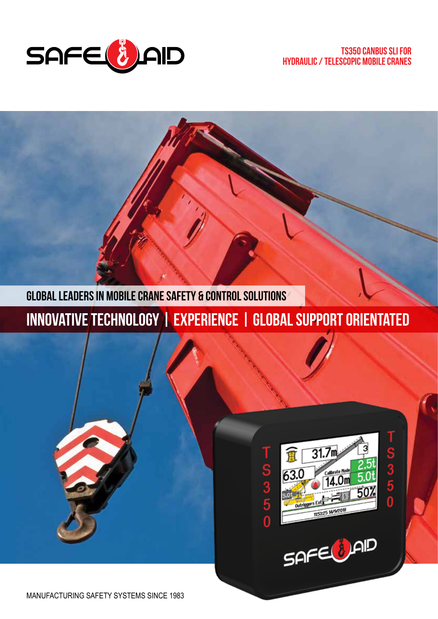

**Global leaders in Mobile CRANE SAFETY & CONTROL SOLUTIONS**

**Innovative technology | Experience | Global support orientated**



SAFE(JAID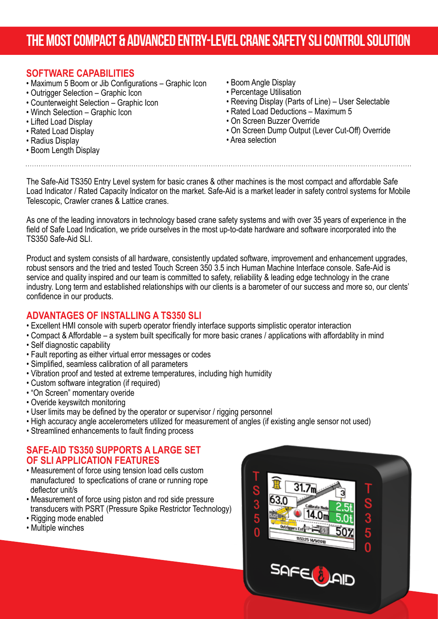## **THE MOST COMPACT & ADVANCED ENTRY-LEVEL CRANE SAFETY SLI CONTROL SOLUTION**

### **SOFTWARE CAPABILITIES**

- Maximum 5 Boom or Jib Configurations Graphic Icon
- Outrigger Selection Graphic Icon
- Counterweight Selection Graphic Icon
- Winch Selection Graphic Icon
- Lifted Load Display
- Rated Load Display
- Radius Display
- Boom Length Display
- Boom Angle Display
- Percentage Utilisation
- Reeving Display (Parts of Line) User Selectable
- Rated Load Deductions Maximum 5
- On Screen Buzzer Override
- On Screen Dump Output (Lever Cut-Off) Override
- Area selection

The Safe-Aid TS350 Entry Level system for basic cranes & other machines is the most compact and affordable Safe Load Indicator / Rated Capacity Indicator on the market. Safe-Aid is a market leader in safety control systems for Mobile Telescopic, Crawler cranes & Lattice cranes.

As one of the leading innovators in technology based crane safety systems and with over 35 years of experience in the field of Safe Load Indication, we pride ourselves in the most up-to-date hardware and software incorporated into the TS350 Safe-Aid SLI.

Product and system consists of all hardware, consistently updated software, improvement and enhancement upgrades, robust sensors and the tried and tested Touch Screen 350 3.5 inch Human Machine Interface console. Safe-Aid is service and quality inspired and our team is committed to safety, reliability & leading edge technology in the crane industry. Long term and established relationships with our clients is a barometer of our success and more so, our clents' confidence in our products.

### **ADVANTAGES OF INSTALLING A TS350 SLI**

- Excellent HMI console with superb operator friendly interface supports simplistic operator interaction
- Compact & Affordable a system built specifically for more basic cranes / applications with affordablity in mind
- Self diagnostic capability
- Fault reporting as either virtual error messages or codes
- Simplified, seamless calibration of all parameters
- Vibration proof and tested at extreme temperatures, including high humidity
- Custom software integration (if required)
- "On Screen" momentary overide
- Overide keyswitch monitoring
- User limits may be defined by the operator or supervisor / rigging personnel
- High accuracy angle accelerometers utilized for measurement of angles (if existing angle sensor not used)
- Streamlined enhancements to fault finding process

#### **SAFE-AID TS350 SUPPORTS A LARGE SET OF SLI APPLICATION FEATURES**

- Measurement of force using tension load cells custom manufactured to specfications of crane or running rope deflector unit/s
- Measurement of force using piston and rod side pressure transducers with PSRT (Pressure Spike Restrictor Technology)
- Rigging mode enabled
- Multiple winches

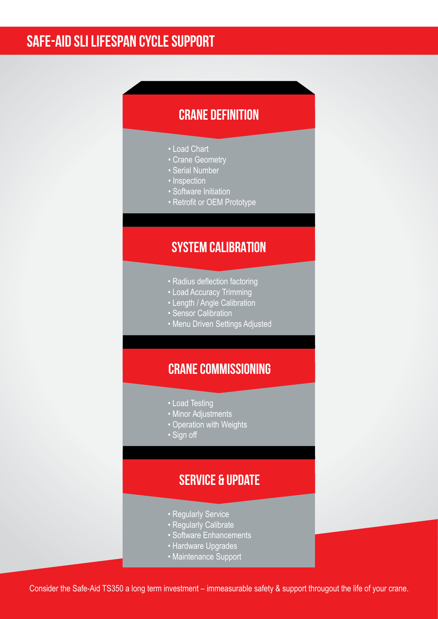## **safe-aid sli lifespan cycle support**

### **Crane definition**

- Load Chart
- Crane Geometry
- Serial Number
- Inspection
- Software Initiation
- Retrofit or OEM Prototype

### **System calibration**

- Radius deflection factoring
- Load Accuracy Trimming
- Length / Angle Calibration
- Sensor Calibration
- Menu Driven Settings Adjusted

### **Crane commissioning**

- Load Testing
- Minor Adjustments
- Operation with Weights
- Sign off

### **Service & update**

- Regularly Service
- Regularly Calibrate
- Software Enhancements
- Hardware Upgrades
- Maintenance Support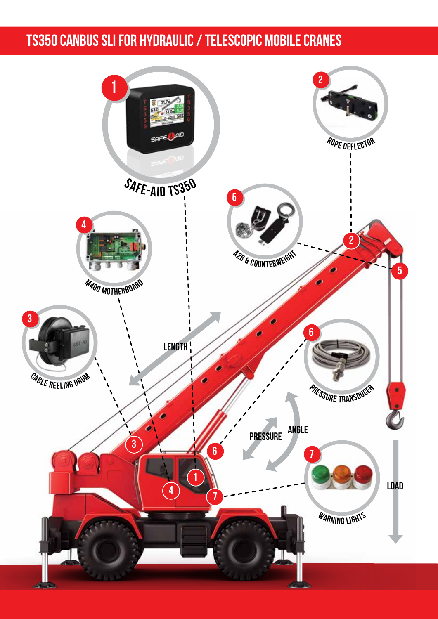## **ts350 canbus sli for hydraulic / telescopic mobile cranes**

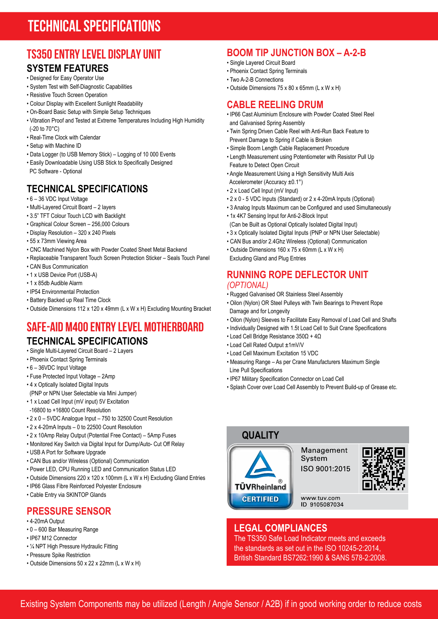## **TECHNICAL SPECIFICATIONS**

# **TS350 ENTRY LEVEL DISPLAY UNIT**

### **SYSTEM FEATURES**

- Designed for Easy Operator Use
- System Test with Self-Diagnostic Capabilities
- Resistive Touch Screen Operation
- Colour Display with Excellent Sunlight Readability
- On-Board Basic Setup with Simple Setup Techniques
- Vibration Proof and Tested at Extreme Temperatures Including High Humidity (-20 to 70°C)
- Real-Time Clock with Calendar
- Setup with Machine ID
- Data Logger (to USB Memory Stick) Logging of 10 000 Events
- Easily Downloadable Using USB Stick to Specifically Designed PC Software - Optional

### **TECHNICAL SPECIFICATIONS**

- 6 36 VDC Input Voltage
- Multi-Layered Circuit Board 2 layers
- 3.5" TFT Colour Touch LCD with Backlight
- Graphical Colour Screen 256,000 Colours
- Display Resolution 320 x 240 Pixels
- 55 x 73mm Viewing Area
- CNC Machined Nylon Box with Powder Coated Sheet Metal Backend
- Replaceable Transparent Touch Screen Protection Sticker Seals Touch Panel
- CAN Bus Communication
- 1 x USB Device Port (USB-A)
- 1 x 85db Audible Alarm
- IP54 Environmental Protection
- Battery Backed up Real Time Clock
- Outside Dimensions 112 x 120 x 49mm (L x W x H) Excluding Mounting Bracket

### **SAFE-AID M400 ENTRY LEVEL MOTHERBOARD TECHNICAL SPECIFICATIONS**

- Single Multi-Layered Circuit Board 2 Layers
- Phoenix Contact Spring Terminals
- 6 36VDC Input Voltage
- Fuse Protected Input Voltage 2Amp
- 4 x Optically Isolated Digital Inputs
- (PNP or NPN User Selectable via Mini Jumper)
- 1 x Load Cell Input (mV input) 5V Excitation
- -16800 to +16800 Count Resolution
- 2 x 0 5VDC Analogue Input 750 to 32500 Count Resolution
- 2 x 4-20mA Inputs 0 to 22500 Count Resolution
- 2 x 10Amp Relay Output (Potential Free Contact) 5Amp Fuses
- Monitored Key Switch via Digital Input for Dump/Auto- Cut Off Relay
- USB A Port for Software Upgrade
- CAN Bus and/or Wireless (Optional) Communication
- Power LED, CPU Running LED and Communication Status LED
- Outside Dimensions 220 x 120 x 100mm (L x W x H) Excluding Gland Entries
- IP66 Glass Fibre Reinforced Polyester Enclosure
- Cable Entry via SKINTOP Glands

### **PRESSURE SENSOR**

- 4-20mA Output
- 0 600 Bar Measuring Range
- IP67 M12 Connector
- ¼ NPT High Pressure Hydraulic Fitting
- Pressure Spike Restriction
- Outside Dimensions 50 x 22 x 22mm (L x W x H)

### **BOOM TIP JUNCTION BOX – A-2-B**

- Single Layered Circuit Board
- Phoenix Contact Spring Terminals
- Two A-2-B Connections
- Outside Dimensions 75 x 80 x 65mm (L x W x H)

#### **CABLE REELING DRUM**

- IP66 Cast Aluminium Enclosure with Powder Coated Steel Reel and Galvanised Spring Assembly
- Twin Spring Driven Cable Reel with Anti-Run Back Feature to Prevent Damage to Spring if Cable is Broken
- Simple Boom Length Cable Replacement Procedure
- Length Measurement using Potentiometer with Resistor Pull Up Feature to Detect Open Circuit
- Angle Measurement Using a High Sensitivity Multi Axis Accelerometer (Accuracy ±0.1°)
- 2 x Load Cell Input (mV Input)
- 2 x 0 5 VDC Inputs (Standard) or 2 x 4-20mA Inputs (Optional)
- 3 Analog Inputs Maximum can be Configured and used Simultaneously
- 1x 4K7 Sensing Input for Anti-2-Block Input (Can be Built as Optional Optically Isolated Digital Input)
- 3 x Optically Isolated Digital Inputs (PNP or NPN User Selectable)
- CAN Bus and/or 2.4Ghz Wireless (Optional) Communication
- Outside Dimensions 160 x 75 x 60mm (L x W x H) Excluding Gland and Plug Entries
- 

#### **RUNNING ROPE DEFLECTOR UNIT** *(OPTIONAL)*

- Rugged Galvanised OR Stainless Steel Assembly
- Oilon (Nylon) OR Steel Pulleys with Twin Bearings to Prevent Rope Damage and for Longevity
- Oilon (Nylon) Sleeves to Facilitate Easy Removal of Load Cell and Shafts
- Individually Designed with 1.5t Load Cell to Suit Crane Specifications
- Load Cell Bridge Resistance 350Ω + 4Ω
- Load Cell Rated Output ±1mV/V
- Load Cell Maximum Excitation 15 VDC
- Measuring Range As per Crane Manufacturers Maximum Single Line Pull Specifications
- IP67 Military Specification Connector on Load Cell
- Splash Cover over Load Cell Assembly to Prevent Build-up of Grease etc.

#### **QUALITY**

**TÜVRheinland CERTIFIED** 

Management System ISO 9001:2015



www.tuv.com ID 9105087034

#### **LEGAL COMPLIANCES**

The TS350 Safe Load Indicator meets and exceeds the standards as set out in the ISO 10245-2:2014, British Standard BS7262:1990 & SANS 578-2:2008.